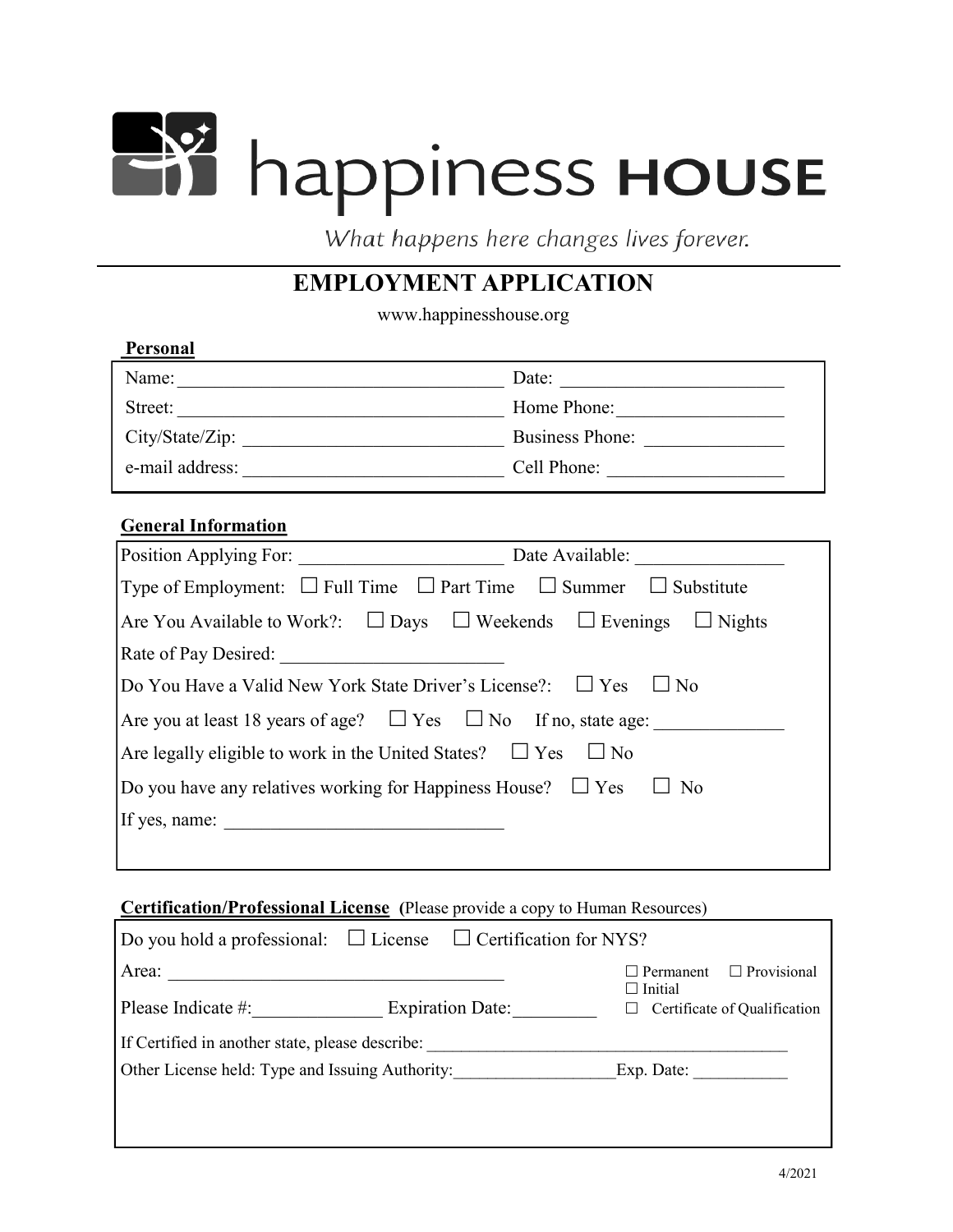# He's happiness House

What happens here changes lives forever.

# **EMPLOYMENT APPLICATION**

www.happinesshouse.org

| <b>Personal</b> |                        |
|-----------------|------------------------|
| Name:           | Date:                  |
| Street:         | Home Phone:            |
| City/State/Zip: | <b>Business Phone:</b> |
| e-mail address: | Cell Phone:            |

## **General Information**

| Position Applying For:<br>Date Available:                                             |
|---------------------------------------------------------------------------------------|
| Type of Employment: $\Box$ Full Time $\Box$ Part Time $\Box$ Summer $\Box$ Substitute |
| Are You Available to Work?: $\Box$ Days $\Box$ Weekends $\Box$ Evenings $\Box$ Nights |
| Rate of Pay Desired:                                                                  |
| Do You Have a Valid New York State Driver's License?: $\Box$ Yes<br>$\Box$ No         |
| Are you at least 18 years of age? $\square$ Yes $\square$ No If no, state age:        |
| Are legally eligible to work in the United States? $\Box$ Yes $\Box$ No               |
| Do you have any relatives working for Happiness House? $\Box$ Yes $\Box$ No           |
| If yes, name:                                                                         |
|                                                                                       |

#### **Certification/Professional License (**Please provide a copy to Human Resources)

|                                                 | $\Box$ Do you hold a professional: $\Box$ License $\Box$ Certification for NYS? |                                                |  |
|-------------------------------------------------|---------------------------------------------------------------------------------|------------------------------------------------|--|
| Area:                                           |                                                                                 | $\Box$ Provisional<br>$\Box$ Permanent         |  |
| Please Indicate #:<br><b>Expiration Date:</b>   |                                                                                 | $\Box$ Initial<br>Certificate of Qualification |  |
| If Certified in another state, please describe: |                                                                                 |                                                |  |
| Other License held: Type and Issuing Authority: |                                                                                 | Exp. Date:                                     |  |
|                                                 |                                                                                 |                                                |  |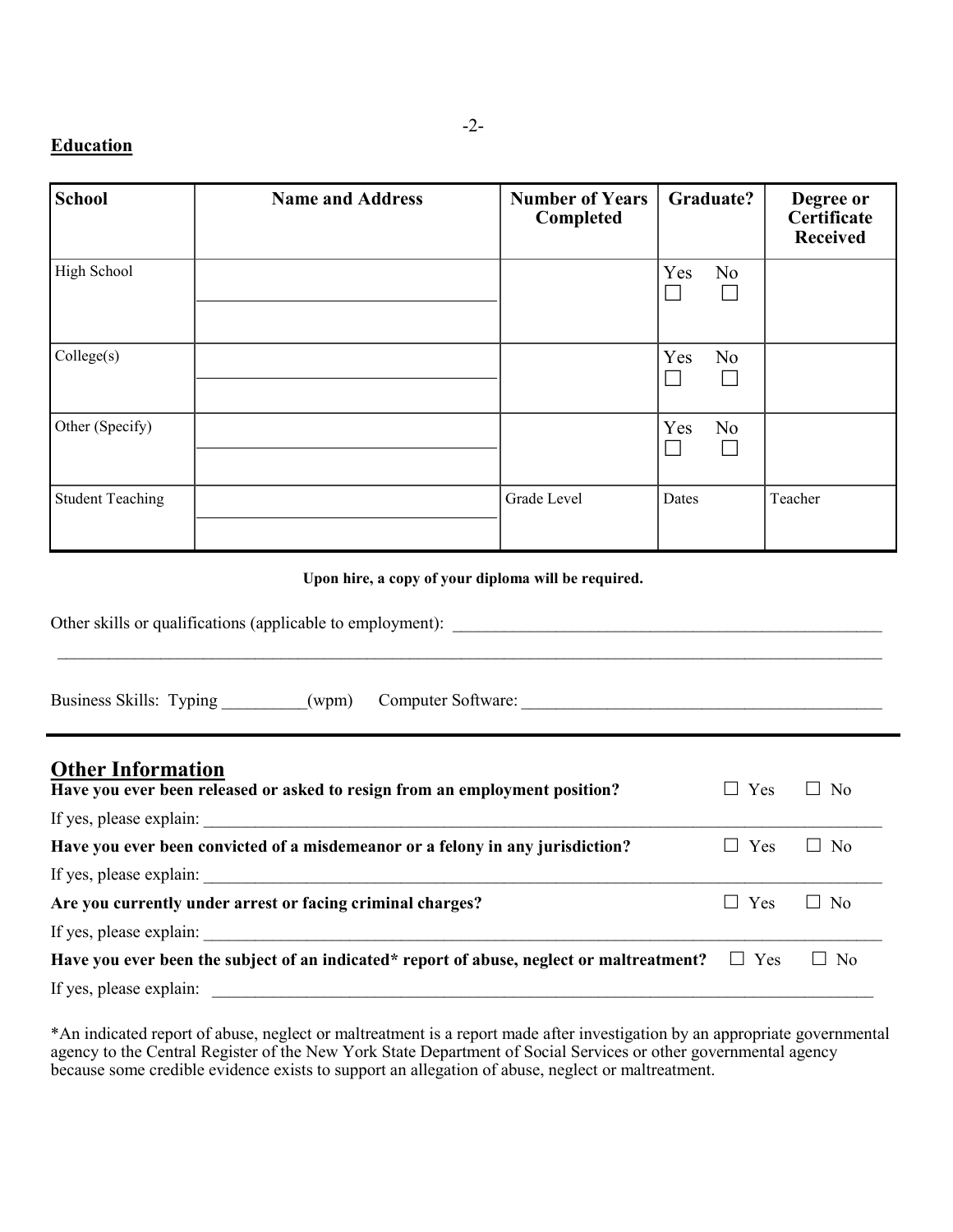# **Education**

| <b>School</b>           | <b>Name and Address</b> | <b>Number of Years</b><br>Completed | Graduate?             | Degree or<br>Certificate<br><b>Received</b> |
|-------------------------|-------------------------|-------------------------------------|-----------------------|---------------------------------------------|
| High School             |                         |                                     | Yes<br>N <sub>o</sub> |                                             |
| Collect(s)              |                         |                                     | Yes<br>No             |                                             |
| Other (Specify)         |                         |                                     | Yes<br>N <sub>o</sub> |                                             |
| <b>Student Teaching</b> |                         | Grade Level                         | Dates                 | Teacher                                     |

#### **Upon hire, a copy of your diploma will be required.**

| Other skills or qualifications (applicable to employment): |  |
|------------------------------------------------------------|--|
|                                                            |  |
|                                                            |  |

| Business Skills: Typing |  | (wpm) | Computer Software: |  |
|-------------------------|--|-------|--------------------|--|
|-------------------------|--|-------|--------------------|--|

| <b>Other Information</b><br>Have you ever been released or asked to resign from an employment position? | Yes<br>$\Box$       | $\Box$ No |
|---------------------------------------------------------------------------------------------------------|---------------------|-----------|
|                                                                                                         |                     |           |
| Have you ever been convicted of a misdemeanor or a felony in any jurisdiction?                          | Yes<br>$\mathbf{1}$ | $\Box$ No |
| If yes, please explain:                                                                                 |                     |           |
| Are you currently under arrest or facing criminal charges?                                              | Yes<br>$\Box$       | $\Box$ No |
| If yes, please explain:                                                                                 |                     |           |
| Have you ever been the subject of an indicated* report of abuse, neglect or maltreatment? $\square$ Yes |                     | $\Box$ No |
| If yes, please explain:                                                                                 |                     |           |

\*An indicated report of abuse, neglect or maltreatment is a report made after investigation by an appropriate governmental agency to the Central Register of the New York State Department of Social Services or other governmental agency because some credible evidence exists to support an allegation of abuse, neglect or maltreatment.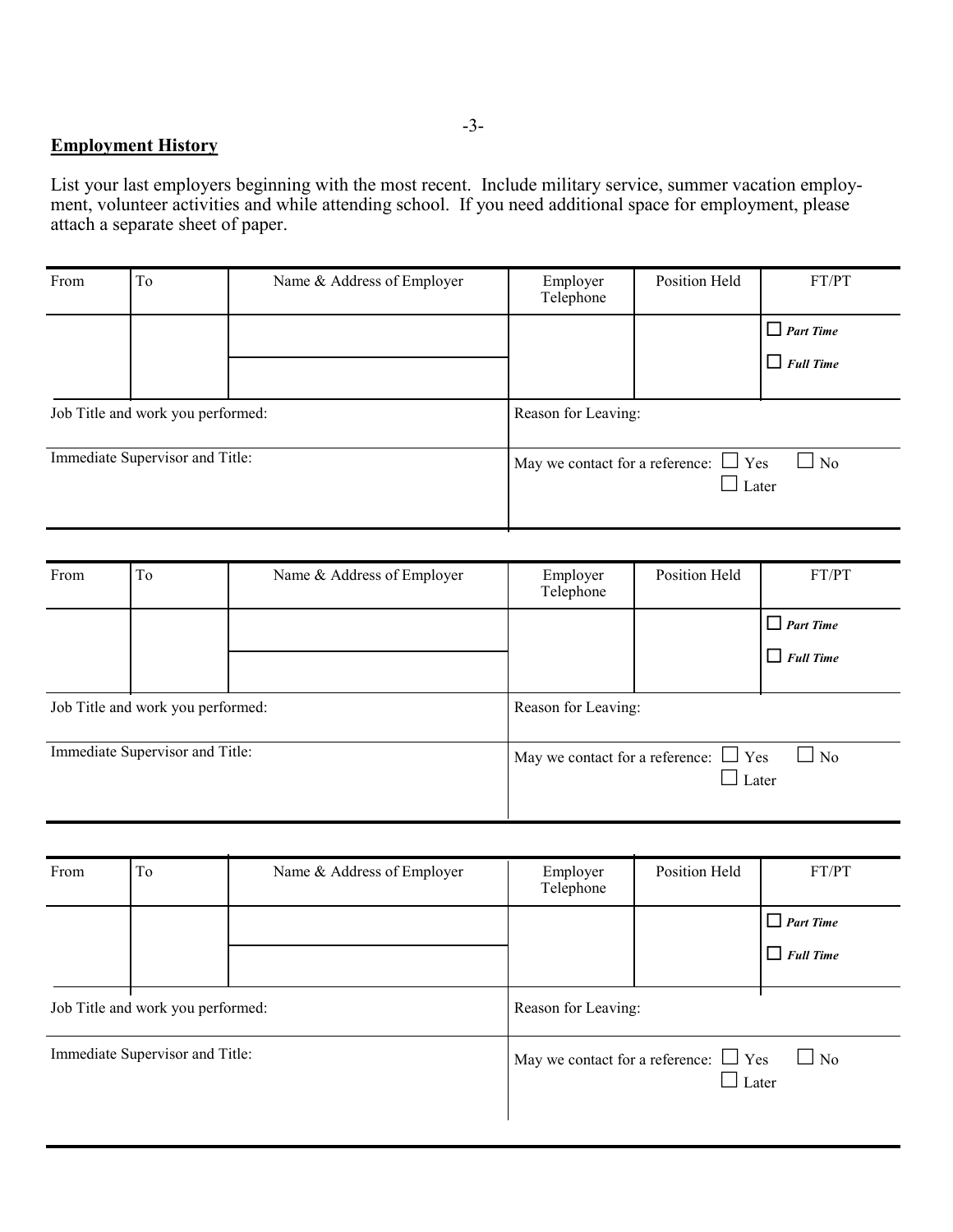## **Employment History**

List your last employers beginning with the most recent. Include military service, summer vacation employment, volunteer activities and while attending school. If you need additional space for employment, please attach a separate sheet of paper.

| From                              | To | Name & Address of Employer | Employer<br>Telephone                      | Position Held | FT/PT            |
|-----------------------------------|----|----------------------------|--------------------------------------------|---------------|------------------|
|                                   |    |                            |                                            |               | $\Box$ Part Time |
|                                   |    |                            |                                            |               | $\Box$ Full Time |
| Job Title and work you performed: |    |                            | Reason for Leaving:                        |               |                  |
| Immediate Supervisor and Title:   |    |                            | May we contact for a reference: $\Box$ Yes | Later         | $\Box$ No        |

| From | To                                | Name & Address of Employer | Employer<br>Telephone                      | Position Held | FT/PT                      |
|------|-----------------------------------|----------------------------|--------------------------------------------|---------------|----------------------------|
|      |                                   |                            |                                            |               | $\Box$ Part Time           |
|      |                                   |                            |                                            |               | $\Box$ Full Time           |
|      | Job Title and work you performed: |                            | Reason for Leaving:                        |               |                            |
|      | Immediate Supervisor and Title:   |                            | May we contact for a reference: $\Box$ Yes |               | $\Box$ No<br>$\perp$ Later |

| From                              | To | Name & Address of Employer | Employer<br>Telephone | Position Held                                              | FT/PT                                |
|-----------------------------------|----|----------------------------|-----------------------|------------------------------------------------------------|--------------------------------------|
|                                   |    |                            |                       |                                                            | $\Box$ Part Time<br>$\Box$ Full Time |
| Job Title and work you performed: |    |                            | Reason for Leaving:   |                                                            |                                      |
| Immediate Supervisor and Title:   |    |                            |                       | May we contact for a reference: $\Box$ Yes<br>$\Box$ Later | $\Box$ No                            |